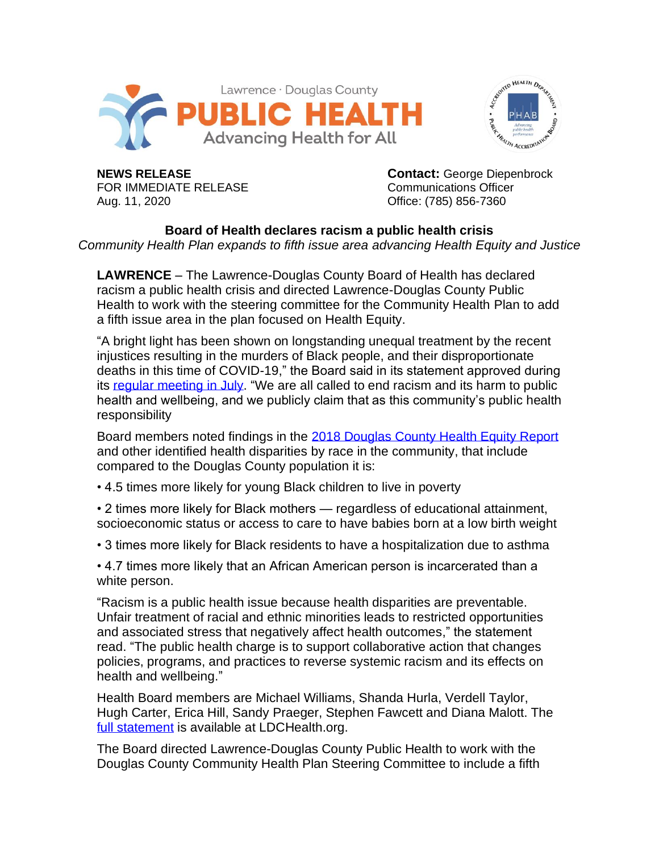



FOR IMMEDIATE RELEASE Communications Officer Aug. 11, 2020 Office: (785) 856-7360

**NEWS RELEASE Contact:** George Diepenbrock

**Board of Health declares racism a public health crisis** *Community Health Plan expands to fifth issue area advancing Health Equity and Justice*

**LAWRENCE** – The Lawrence-Douglas County Board of Health has declared racism a public health crisis and directed Lawrence-Douglas County Public Health to work with the steering committee for the Community Health Plan to add a fifth issue area in the plan focused on Health Equity.

"A bright light has been shown on longstanding unequal treatment by the recent injustices resulting in the murders of Black people, and their disproportionate deaths in this time of COVID-19," the Board said in its statement approved during its [regular meeting](https://bit.ly/33Ql9p4) in July. "We are all called to end racism and its harm to public health and wellbeing, and we publicly claim that as this community's public health responsibility

Board members noted findings in the [2018 Douglas County Health Equity Report](https://ldchealth.org/DocumentCenter/View/2408/Health-Equity-Report#:~:text=The%202018%20Lawrence%2DDouglas%20County,health%20equity%20for%20Douglas%20County.&text=The%20report%20outlines%20disparities%20in,demographic%20characteristics%20of%20the%20county.) and other identified health disparities by race in the community, that include compared to the Douglas County population it is:

- 4.5 times more likely for young Black children to live in poverty
- 2 times more likely for Black mothers regardless of educational attainment, socioeconomic status or access to care to have babies born at a low birth weight
- 3 times more likely for Black residents to have a hospitalization due to asthma

• 4.7 times more likely that an African American person is incarcerated than a white person.

"Racism is a public health issue because health disparities are preventable. Unfair treatment of racial and ethnic minorities leads to restricted opportunities and associated stress that negatively affect health outcomes," the statement read. "The public health charge is to support collaborative action that changes policies, programs, and practices to reverse systemic racism and its effects on health and wellbeing."

Health Board members are Michael Williams, Shanda Hurla, Verdell Taylor, Hugh Carter, Erica Hill, Sandy Praeger, Stephen Fawcett and Diana Malott. The [full statement](https://bit.ly/33Ql9p4) is available at LDCHealth.org.

The Board directed Lawrence-Douglas County Public Health to work with the Douglas County Community Health Plan Steering Committee to include a fifth